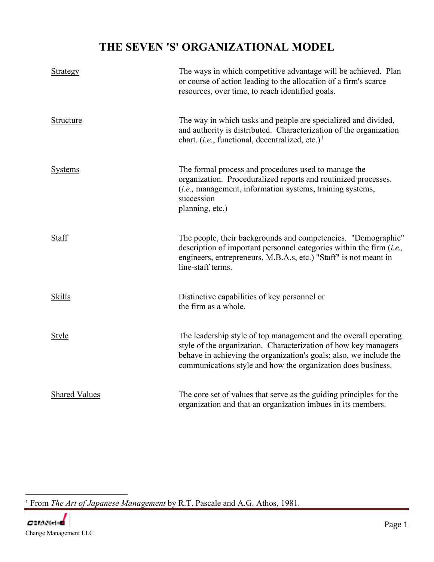## **THE SEVEN 'S' ORGANIZATIONAL MODEL**

| <b>Strategy</b>      | The ways in which competitive advantage will be achieved. Plan<br>or course of action leading to the allocation of a firm's scarce<br>resources, over time, to reach identified goals.                                                                                    |
|----------------------|---------------------------------------------------------------------------------------------------------------------------------------------------------------------------------------------------------------------------------------------------------------------------|
| Structure            | The way in which tasks and people are specialized and divided,<br>and authority is distributed. Characterization of the organization<br>chart. ( <i>i.e.</i> , functional, decentralized, etc.) <sup>1</sup>                                                              |
| <b>Systems</b>       | The formal process and procedures used to manage the<br>organization. Proceduralized reports and routinized processes.<br>(i.e., management, information systems, training systems,<br>succession<br>planning, etc.)                                                      |
| Staff                | The people, their backgrounds and competencies. "Demographic"<br>description of important personnel categories within the firm $(i.e.,$<br>engineers, entrepreneurs, M.B.A.s, etc.) "Staff" is not meant in<br>line-staff terms.                                          |
| <b>Skills</b>        | Distinctive capabilities of key personnel or<br>the firm as a whole.                                                                                                                                                                                                      |
| Style                | The leadership style of top management and the overall operating<br>style of the organization. Characterization of how key managers<br>behave in achieving the organization's goals; also, we include the<br>communications style and how the organization does business. |
| <b>Shared Values</b> | The core set of values that serve as the guiding principles for the<br>organization and that an organization imbues in its members.                                                                                                                                       |

<span id="page-0-0"></span><sup>1</sup> From *The Art of Japanese Management* by R.T. Pascale and A.G. Athos, 1981.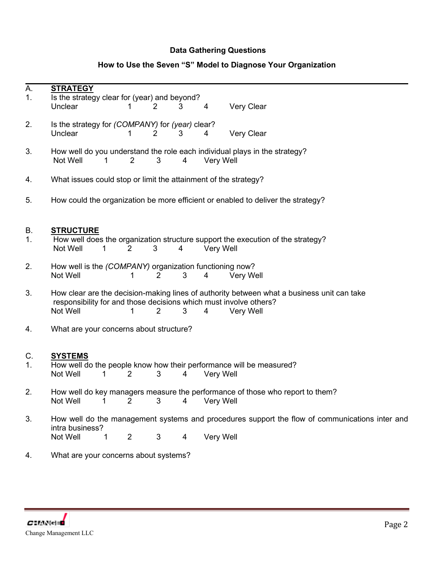## **Data Gathering Questions**

## **How to Use the Seven "S" Model to Diagnose Your Organization**

| A. | <b>STRATEGY</b>                                                   |                       |                |   |                  |                                                                                                |  |  |
|----|-------------------------------------------------------------------|-----------------------|----------------|---|------------------|------------------------------------------------------------------------------------------------|--|--|
| 1. | Is the strategy clear for (year) and beyond?                      |                       |                |   |                  |                                                                                                |  |  |
|    | Unclear                                                           | 1                     | 2              | 3 | 4                | Very Clear                                                                                     |  |  |
|    | Is the strategy for (COMPANY) for (year) clear?                   |                       |                |   |                  |                                                                                                |  |  |
| 2. |                                                                   |                       |                |   |                  |                                                                                                |  |  |
|    | Unclear                                                           | 1                     | $\overline{2}$ | 3 | 4                | Very Clear                                                                                     |  |  |
|    |                                                                   |                       |                |   |                  |                                                                                                |  |  |
| 3. |                                                                   |                       |                |   |                  | How well do you understand the role each individual plays in the strategy?                     |  |  |
|    | Not Well<br>$\mathbf 1$                                           | $\overline{2}$        | 3              | 4 | Very Well        |                                                                                                |  |  |
|    |                                                                   |                       |                |   |                  |                                                                                                |  |  |
| 4. | What issues could stop or limit the attainment of the strategy?   |                       |                |   |                  |                                                                                                |  |  |
|    |                                                                   |                       |                |   |                  |                                                                                                |  |  |
| 5. |                                                                   |                       |                |   |                  | How could the organization be more efficient or enabled to deliver the strategy?               |  |  |
|    |                                                                   |                       |                |   |                  |                                                                                                |  |  |
|    |                                                                   |                       |                |   |                  |                                                                                                |  |  |
| В. | <b>STRUCTURE</b>                                                  |                       |                |   |                  |                                                                                                |  |  |
| 1. |                                                                   |                       |                |   |                  | How well does the organization structure support the execution of the strategy?                |  |  |
|    | Not Well<br>1                                                     | $\overline{2}$        | 3              | 4 | Very Well        |                                                                                                |  |  |
|    |                                                                   |                       |                |   |                  |                                                                                                |  |  |
| 2. | How well is the (COMPANY) organization functioning now?           |                       |                |   |                  |                                                                                                |  |  |
|    | Not Well                                                          | 1                     | $\overline{2}$ | 3 | 4                | <b>Very Well</b>                                                                               |  |  |
|    |                                                                   |                       |                |   |                  |                                                                                                |  |  |
| 3. |                                                                   |                       |                |   |                  | How clear are the decision-making lines of authority between what a business unit can take     |  |  |
|    | responsibility for and those decisions which must involve others? |                       |                |   |                  |                                                                                                |  |  |
|    | Not Well                                                          | 1                     | 2              | 3 | 4                | Very Well                                                                                      |  |  |
|    |                                                                   |                       |                |   |                  |                                                                                                |  |  |
| 4. | What are your concerns about structure?                           |                       |                |   |                  |                                                                                                |  |  |
|    |                                                                   |                       |                |   |                  |                                                                                                |  |  |
|    |                                                                   |                       |                |   |                  |                                                                                                |  |  |
| C. | <b>SYSTEMS</b>                                                    |                       |                |   |                  |                                                                                                |  |  |
| 1. |                                                                   |                       |                |   |                  | How well do the people know how their performance will be measured?                            |  |  |
|    | Not Well<br>1                                                     | $\overline{2}$        | 3              | 4 | <b>Very Well</b> |                                                                                                |  |  |
|    |                                                                   |                       |                |   |                  |                                                                                                |  |  |
| 2. |                                                                   |                       |                |   |                  | How well do key managers measure the performance of those who report to them?                  |  |  |
|    | Not Well                                                          | $2 \qquad 3 \qquad 4$ |                |   | Very Well        |                                                                                                |  |  |
|    |                                                                   |                       |                |   |                  |                                                                                                |  |  |
| 3. |                                                                   |                       |                |   |                  | How well do the management systems and procedures support the flow of communications inter and |  |  |
|    | intra business?                                                   |                       |                |   |                  |                                                                                                |  |  |
|    | Not Well<br>1                                                     | $\overline{2}$        | $\mathfrak{B}$ | 4 | Very Well        |                                                                                                |  |  |
|    |                                                                   |                       |                |   |                  |                                                                                                |  |  |
| 4. | What are your concerns about systems?                             |                       |                |   |                  |                                                                                                |  |  |
|    |                                                                   |                       |                |   |                  |                                                                                                |  |  |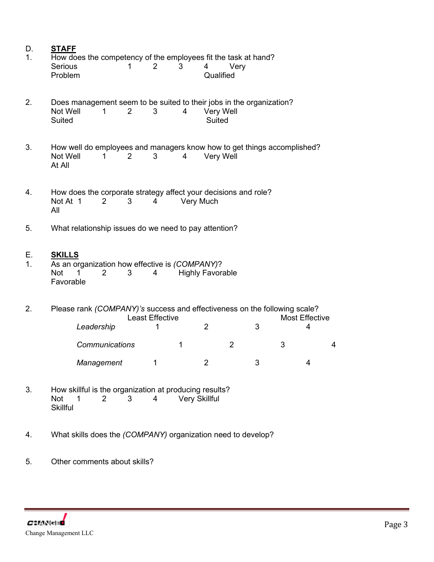| D.<br>1. | <b>STAFF</b><br>How does the competency of the employees fit the task at hand?                                        |                                                                                             |   |   |                            |                |   |   |   |   |
|----------|-----------------------------------------------------------------------------------------------------------------------|---------------------------------------------------------------------------------------------|---|---|----------------------------|----------------|---|---|---|---|
|          | Serious<br>Problem                                                                                                    | 1                                                                                           | 2 | 3 | 4<br>Qualified             | Very           |   |   |   |   |
| 2.       | Not Well<br><b>Suited</b>                                                                                             | Does management seem to be suited to their jobs in the organization?<br>1<br>$\overline{2}$ | 3 | 4 | Very Well<br><b>Suited</b> |                |   |   |   |   |
| 3.       | Not Well<br>At All                                                                                                    | How well do employees and managers know how to get things accomplished?<br>2<br>1           | 3 | 4 | Very Well                  |                |   |   |   |   |
| 4.       | Not At 1<br>All                                                                                                       | How does the corporate strategy affect your decisions and role?<br>3<br>2                   | 4 |   | Very Much                  |                |   |   |   |   |
| 5.       |                                                                                                                       | What relationship issues do we need to pay attention?                                       |   |   |                            |                |   |   |   |   |
| Е.<br>1. | <b>SKILLS</b><br><b>Not</b><br>1.<br>Favorable                                                                        | As an organization how effective is (COMPANY)?<br>3<br>2                                    | 4 |   | <b>Highly Favorable</b>    |                |   |   |   |   |
| 2.       | Please rank (COMPANY)'s success and effectiveness on the following scale?<br>Least Effective<br><b>Most Effective</b> |                                                                                             |   |   |                            |                |   |   |   |   |
|          |                                                                                                                       | Leadership                                                                                  | 1 |   | $\overline{2}$             |                | 3 |   | 4 |   |
|          |                                                                                                                       | <b>Communications</b>                                                                       |   | 1 |                            | $\overline{2}$ |   | 3 |   | 4 |
|          |                                                                                                                       | Management                                                                                  | 1 |   | $\overline{2}$             |                | 3 |   | 4 |   |
| વ        |                                                                                                                       | How skillful is the organization at producing results?                                      |   |   |                            |                |   |   |   |   |

- 3. How skillful is the organization at producing results? Not 1 2 3 4 Very Skillful Not 1<br>Skillful
- 4. What skills does the *(COMPANY)* organization need to develop?
- 5. Other comments about skills?